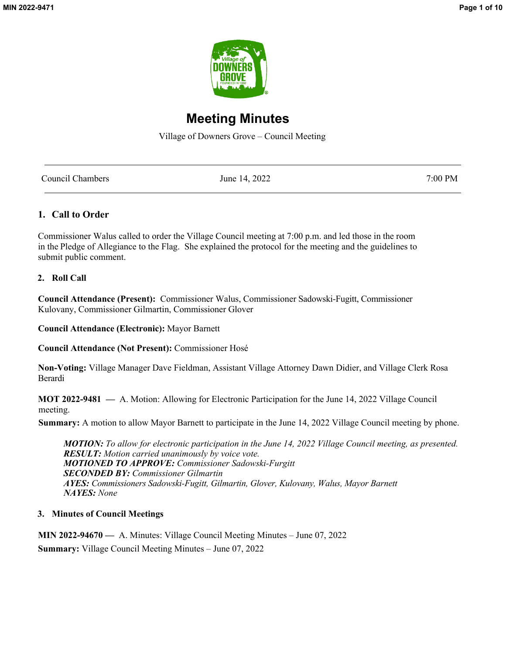

# **Meeting Minutes**

Village of Downers Grove – Council Meeting

| Council Chambers | June 14, 2022 | 7:00 PM |
|------------------|---------------|---------|
|                  |               |         |

## **1. Call to Order**

Commissioner Walus called to order the Village Council meeting at 7:00 p.m. and led those in the room in the Pledge of Allegiance to the Flag. She explained the protocol for the meeting and the guidelines to submit public comment.

## **2. Roll Call**

**Council Attendance (Present):** Commissioner Walus, Commissioner Sadowski-Fugitt, Commissioner Kulovany, Commissioner Gilmartin, Commissioner Glover

**Council Attendance (Electronic):** Mayor Barnett

**Council Attendance (Not Present):** Commissioner Hosé

**Non-Voting:** Village Manager Dave Fieldman, Assistant Village Attorney Dawn Didier, and Village Clerk Rosa Berardi

 **MOT 2022-9481 —** A. Motion: Allowing for Electronic Participation for the June 14, 2022 Village Council meeting.

 **Summary:** A motion to allow Mayor Barnett to participate in the June 14, 2022 Village Council meeting by phone.

*MOTION: To allow for electronic participation in the June 14, 2022 Village Council meeting, as presented. RESULT: Motion carried unanimously by voice vote. MOTIONED TO APPROVE: Commissioner Sadowski-Furgitt SECONDED BY: Commissioner Gilmartin AYES: Commissioners Sadowski-Fugitt, Gilmartin, Glover, Kulovany, Walus, Mayor Barnett NAYES: None*

## **3. Minutes of Council Meetings**

 **MIN 2022-94670 —** A. Minutes: Village Council Meeting Minutes – June 07, 2022 **Summary:** Village Council Meeting Minutes – June 07, 2022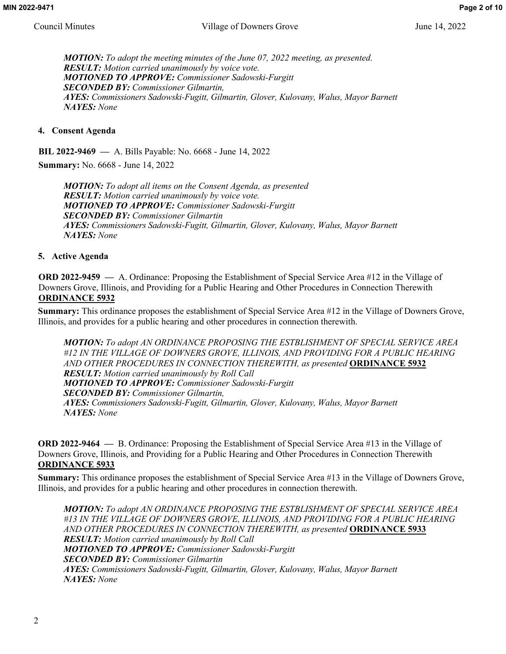*MOTION: To adopt the meeting minutes of the June 07, 2022 meeting, as presented. RESULT: Motion carried unanimously by voice vote. MOTIONED TO APPROVE: Commissioner Sadowski-Furgitt SECONDED BY: Commissioner Gilmartin, AYES: Commissioners Sadowski-Fugitt, Gilmartin, Glover, Kulovany, Walus, Mayor Barnett NAYES: None*

## **4. Consent Agenda**

 **BIL 2022-9469 —** A. Bills Payable: No. 6668 - June 14, 2022

 **Summary:** No. 6668 - June 14, 2022

*MOTION: To adopt all items on the Consent Agenda, as presented RESULT: Motion carried unanimously by voice vote. MOTIONED TO APPROVE: Commissioner Sadowski-Furgitt SECONDED BY: Commissioner Gilmartin AYES: Commissioners Sadowski-Fugitt, Gilmartin, Glover, Kulovany, Walus, Mayor Barnett NAYES: None*

## **5. Active Agenda**

 **ORD 2022-9459 —** A. Ordinance: Proposing the Establishment of Special Service Area #12 in the Village of Downers Grove, Illinois, and Providing for a Public Hearing and Other Procedures in Connection Therewith **ORDINANCE 5932**

**Summary:** This ordinance proposes the establishment of Special Service Area #12 in the Village of Downers Grove, Illinois, and provides for a public hearing and other procedures in connection therewith.

*MOTION: To adopt AN ORDINANCE PROPOSING THE ESTBLISHMENT OF SPECIAL SERVICE AREA #12 IN THE VILLAGE OF DOWNERS GROVE, ILLINOIS, AND PROVIDING FOR A PUBLIC HEARING AND OTHER PROCEDURES IN CONNECTION THEREWITH, as presented* **ORDINANCE 5932** *RESULT: Motion carried unanimously by Roll Call MOTIONED TO APPROVE: Commissioner Sadowski-Furgitt SECONDED BY: Commissioner Gilmartin, AYES: Commissioners Sadowski-Fugitt, Gilmartin, Glover, Kulovany, Walus, Mayor Barnett NAYES: None*

**ORD 2022-9464 —** B. Ordinance: Proposing the Establishment of Special Service Area #13 in the Village of Downers Grove, Illinois, and Providing for a Public Hearing and Other Procedures in Connection Therewith **ORDINANCE 5933**

**Summary:** This ordinance proposes the establishment of Special Service Area #13 in the Village of Downers Grove, Illinois, and provides for a public hearing and other procedures in connection therewith.

*MOTION: To adopt AN ORDINANCE PROPOSING THE ESTBLISHMENT OF SPECIAL SERVICE AREA #13 IN THE VILLAGE OF DOWNERS GROVE, ILLINOIS, AND PROVIDING FOR A PUBLIC HEARING AND OTHER PROCEDURES IN CONNECTION THEREWITH, as presented* **ORDINANCE 5933** *RESULT: Motion carried unanimously by Roll Call MOTIONED TO APPROVE: Commissioner Sadowski-Furgitt SECONDED BY: Commissioner Gilmartin AYES: Commissioners Sadowski-Fugitt, Gilmartin, Glover, Kulovany, Walus, Mayor Barnett NAYES: None*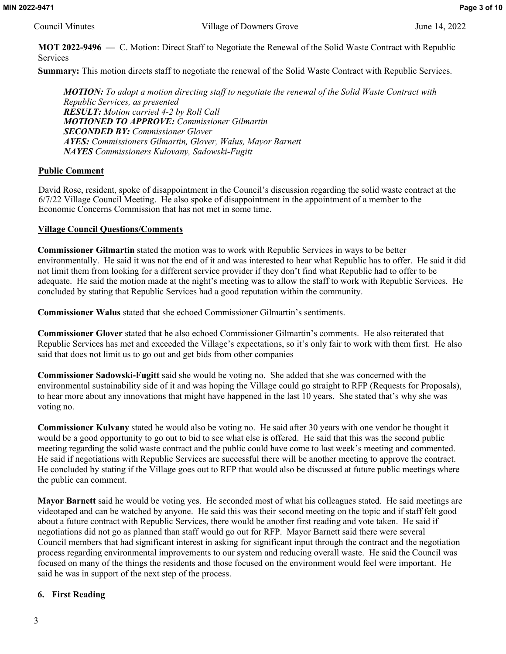**MOT 2022-9496 —** C. Motion: Direct Staff to Negotiate the Renewal of the Solid Waste Contract with Republic Services

**Summary:** This motion directs staff to negotiate the renewal of the Solid Waste Contract with Republic Services.

*MOTION: To adopt a motion directing staff to negotiate the renewal of the Solid Waste Contract with Republic Services, as presented RESULT: Motion carried 4-2 by Roll Call MOTIONED TO APPROVE: Commissioner Gilmartin SECONDED BY: Commissioner Glover AYES: Commissioners Gilmartin, Glover, Walus, Mayor Barnett NAYES Commissioners Kulovany, Sadowski-Fugitt* 

## **Public Comment**

 David Rose, resident, spoke of disappointment in the Council's discussion regarding the solid waste contract at the 6/7/22 Village Council Meeting. He also spoke of disappointment in the appointment of a member to the Economic Concerns Commission that has not met in some time.

## **Village Council Questions/Comments**

**Commissioner Gilmartin** stated the motion was to work with Republic Services in ways to be better environmentally. He said it was not the end of it and was interested to hear what Republic has to offer. He said it did not limit them from looking for a different service provider if they don't find what Republic had to offer to be adequate. He said the motion made at the night's meeting was to allow the staff to work with Republic Services. He concluded by stating that Republic Services had a good reputation within the community.

**Commissioner Walus** stated that she echoed Commissioner Gilmartin's sentiments.

**Commissioner Glover** stated that he also echoed Commissioner Gilmartin's comments. He also reiterated that Republic Services has met and exceeded the Village's expectations, so it's only fair to work with them first. He also said that does not limit us to go out and get bids from other companies

**Commissioner Sadowski-Fugitt** said she would be voting no. She added that she was concerned with the environmental sustainability side of it and was hoping the Village could go straight to RFP (Requests for Proposals), to hear more about any innovations that might have happened in the last 10 years. She stated that's why she was voting no.

**Commissioner Kulvany** stated he would also be voting no. He said after 30 years with one vendor he thought it would be a good opportunity to go out to bid to see what else is offered. He said that this was the second public meeting regarding the solid waste contract and the public could have come to last week's meeting and commented. He said if negotiations with Republic Services are successful there will be another meeting to approve the contract. He concluded by stating if the Village goes out to RFP that would also be discussed at future public meetings where the public can comment.

**Mayor Barnett** said he would be voting yes. He seconded most of what his colleagues stated. He said meetings are videotaped and can be watched by anyone. He said this was their second meeting on the topic and if staff felt good about a future contract with Republic Services, there would be another first reading and vote taken. He said if negotiations did not go as planned than staff would go out for RFP. Mayor Barnett said there were several Council members that had significant interest in asking for significant input through the contract and the negotiation process regarding environmental improvements to our system and reducing overall waste. He said the Council was focused on many of the things the residents and those focused on the environment would feel were important. He said he was in support of the next step of the process.

## **6. First Reading**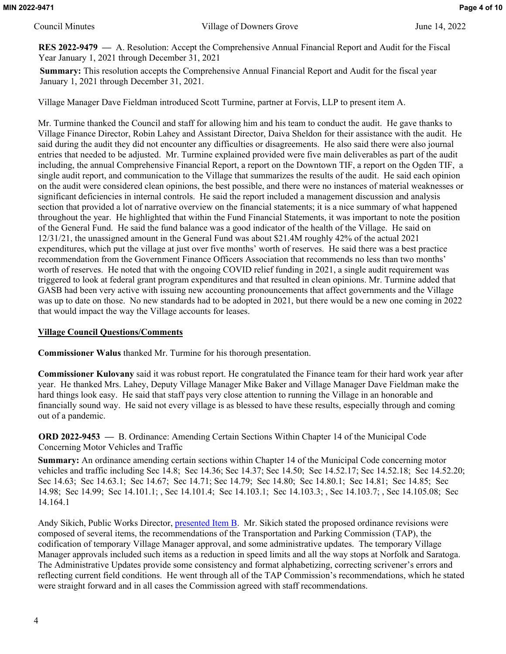**RES 2022-9479 —** A. Resolution: Accept the Comprehensive Annual Financial Report and Audit for the Fiscal Year January 1, 2021 through December 31, 2021

**Summary:** This resolution accepts the Comprehensive Annual Financial Report and Audit for the fiscal year January 1, 2021 through December 31, 2021.

Village Manager Dave Fieldman introduced Scott Turmine, partner at Forvis, LLP to present item A.

Mr. Turmine thanked the Council and staff for allowing him and his team to conduct the audit. He gave thanks to Village Finance Director, Robin Lahey and Assistant Director, Daiva Sheldon for their assistance with the audit. He said during the audit they did not encounter any difficulties or disagreements. He also said there were also journal entries that needed to be adjusted. Mr. Turmine explained provided were five main deliverables as part of the audit including, the annual Comprehensive Financial Report, a report on the Downtown TIF, a report on the Ogden TIF, a single audit report, and communication to the Village that summarizes the results of the audit. He said each opinion on the audit were considered clean opinions, the best possible, and there were no instances of material weaknesses or significant deficiencies in internal controls. He said the report included a management discussion and analysis section that provided a lot of narrative overview on the financial statements; it is a nice summary of what happened throughout the year. He highlighted that within the Fund Financial Statements, it was important to note the position of the General Fund. He said the fund balance was a good indicator of the health of the Village. He said on 12/31/21, the unassigned amount in the General Fund was about \$21.4M roughly 42% of the actual 2021 expenditures, which put the village at just over five months' worth of reserves. He said there was a best practice recommendation from the Government Finance Officers Association that recommends no less than two months' worth of reserves. He noted that with the ongoing COVID relief funding in 2021, a single audit requirement was triggered to look at federal grant program expenditures and that resulted in clean opinions. Mr. Turmine added that GASB had been very active with issuing new accounting pronouncements that affect governments and the Village was up to date on those. No new standards had to be adopted in 2021, but there would be a new one coming in 2022 that would impact the way the Village accounts for leases.

## **Village Council Questions/Comments**

**Commissioner Walus** thanked Mr. Turmine for his thorough presentation.

**Commissioner Kulovany** said it was robust report. He congratulated the Finance team for their hard work year after year. He thanked Mrs. Lahey, Deputy Village Manager Mike Baker and Village Manager Dave Fieldman make the hard things look easy. He said that staff pays very close attention to running the Village in an honorable and financially sound way. He said not every village is as blessed to have these results, especially through and coming out of a pandemic.

 **ORD 2022-9453 —** B. Ordinance: Amending Certain Sections Within Chapter 14 of the Municipal Code Concerning Motor Vehicles and Traffic

**Summary:** An ordinance amending certain sections within Chapter 14 of the Municipal Code concerning motor vehicles and traffic including Sec 14.8; Sec 14.36; Sec 14.37; Sec 14.50; Sec 14.52.17; Sec 14.52.18; Sec 14.52.20; Sec 14.63; Sec 14.63.1; Sec 14.67; Sec 14.71; Sec 14.79; Sec 14.80; Sec 14.80.1; Sec 14.81; Sec 14.85; Sec 14.98; Sec 14.99; Sec 14.101.1; , Sec 14.101.4; Sec 14.103.1; Sec 14.103.3; , Sec 14.103.7; , Sec 14.105.08; Sec 14.164.1

Andy Sikich, Public Works Director, [presented Item B.](http://www.downers.us/public/docs/agendas/2022/06-14-22/Chapter%2014%20Slide%20Deck.pdf) Mr. Sikich stated the proposed ordinance revisions were composed of several items, the recommendations of the Transportation and Parking Commission (TAP), the codification of temporary Village Manager approval, and some administrative updates. The temporary Village Manager approvals included such items as a reduction in speed limits and all the way stops at Norfolk and Saratoga. The Administrative Updates provide some consistency and format alphabetizing, correcting scrivener's errors and reflecting current field conditions. He went through all of the TAP Commission's recommendations, which he stated were straight forward and in all cases the Commission agreed with staff recommendations.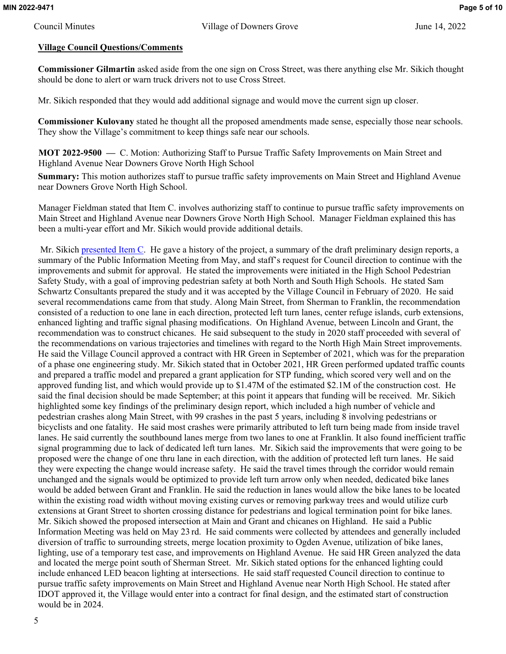## **Village Council Questions/Comments**

**Commissioner Gilmartin** asked aside from the one sign on Cross Street, was there anything else Mr. Sikich thought should be done to alert or warn truck drivers not to use Cross Street.

Mr. Sikich responded that they would add additional signage and would move the current sign up closer.

**Commissioner Kulovany** stated he thought all the proposed amendments made sense, especially those near schools. They show the Village's commitment to keep things safe near our schools.

 **MOT 2022-9500 —** C. Motion: Authorizing Staff to Pursue Traffic Safety Improvements on Main Street and Highland Avenue Near Downers Grove North High School

**Summary:** This motion authorizes staff to pursue traffic safety improvements on Main Street and Highland Avenue near Downers Grove North High School.

 Manager Fieldman stated that Item C. involves authorizing staff to continue to pursue traffic safety improvements on Main Street and Highland Avenue near Downers Grove North High School. Manager Fieldman explained this has been a multi-year effort and Mr. Sikich would provide additional details.

 Mr. Sikich [presented Item C.](http://www.downers.us/public/docs/agendas/2022/06-14-22/Main%20and%20Highland%20Slide%20Deck.pdf) He gave a history of the project, a summary of the draft preliminary design reports, a summary of the Public Information Meeting from May, and staff's request for Council direction to continue with the improvements and submit for approval. He stated the improvements were initiated in the High School Pedestrian Safety Study, with a goal of improving pedestrian safety at both North and South High Schools. He stated Sam Schwartz Consultants prepared the study and it was accepted by the Village Council in February of 2020. He said several recommendations came from that study. Along Main Street, from Sherman to Franklin, the recommendation consisted of a reduction to one lane in each direction, protected left turn lanes, center refuge islands, curb extensions, enhanced lighting and traffic signal phasing modifications. On Highland Avenue, between Lincoln and Grant, the recommendation was to construct chicanes. He said subsequent to the study in 2020 staff proceeded with several of the recommendations on various trajectories and timelines with regard to the North High Main Street improvements. He said the Village Council approved a contract with HR Green in September of 2021, which was for the preparation of a phase one engineering study. Mr. Sikich stated that in October 2021, HR Green performed updated traffic counts and prepared a traffic model and prepared a grant application for STP funding, which scored very well and on the approved funding list, and which would provide up to \$1.47M of the estimated \$2.1M of the construction cost. He said the final decision should be made September; at this point it appears that funding will be received. Mr. Sikich highlighted some key findings of the preliminary design report, which included a high number of vehicle and pedestrian crashes along Main Street, with 99 crashes in the past 5 years, including 8 involving pedestrians or bicyclists and one fatality. He said most crashes were primarily attributed to left turn being made from inside travel lanes. He said currently the southbound lanes merge from two lanes to one at Franklin. It also found inefficient traffic signal programming due to lack of dedicated left turn lanes. Mr. Sikich said the improvements that were going to be proposed were the change of one thru lane in each direction, with the addition of protected left turn lanes. He said they were expecting the change would increase safety. He said the travel times through the corridor would remain unchanged and the signals would be optimized to provide left turn arrow only when needed, dedicated bike lanes would be added between Grant and Franklin. He said the reduction in lanes would allow the bike lanes to be located within the existing road width without moving existing curves or removing parkway trees and would utilize curb extensions at Grant Street to shorten crossing distance for pedestrians and logical termination point for bike lanes. Mr. Sikich showed the proposed intersection at Main and Grant and chicanes on Highland. He said a Public Information Meeting was held on May 23 rd. He said comments were collected by attendees and generally included diversion of traffic to surrounding streets, merge location proximity to Ogden Avenue, utilization of bike lanes, lighting, use of a temporary test case, and improvements on Highland Avenue. He said HR Green analyzed the data and located the merge point south of Sherman Street. Mr. Sikich stated options for the enhanced lighting could include enhanced LED beacon lighting at intersections. He said staff requested Council direction to continue to pursue traffic safety improvements on Main Street and Highland Avenue near North High School. He stated after IDOT approved it, the Village would enter into a contract for final design, and the estimated start of construction would be in 2024.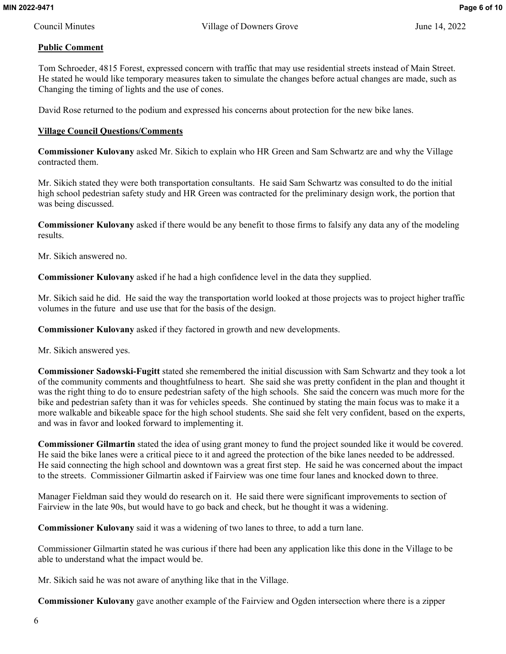## **Public Comment**

 Tom Schroeder, 4815 Forest, expressed concern with traffic that may use residential streets instead of Main Street. He stated he would like temporary measures taken to simulate the changes before actual changes are made, such as Changing the timing of lights and the use of cones.

David Rose returned to the podium and expressed his concerns about protection for the new bike lanes.

## **Village Council Questions/Comments**

**Commissioner Kulovany** asked Mr. Sikich to explain who HR Green and Sam Schwartz are and why the Village contracted them.

Mr. Sikich stated they were both transportation consultants. He said Sam Schwartz was consulted to do the initial high school pedestrian safety study and HR Green was contracted for the preliminary design work, the portion that was being discussed.

**Commissioner Kulovany** asked if there would be any benefit to those firms to falsify any data any of the modeling results.

Mr. Sikich answered no.

**Commissioner Kulovany** asked if he had a high confidence level in the data they supplied.

Mr. Sikich said he did. He said the way the transportation world looked at those projects was to project higher traffic volumes in the future and use use that for the basis of the design.

**Commissioner Kulovany** asked if they factored in growth and new developments.

Mr. Sikich answered yes.

**Commissioner Sadowski-Fugitt** stated she remembered the initial discussion with Sam Schwartz and they took a lot of the community comments and thoughtfulness to heart. She said she was pretty confident in the plan and thought it was the right thing to do to ensure pedestrian safety of the high schools. She said the concern was much more for the bike and pedestrian safety than it was for vehicles speeds. She continued by stating the main focus was to make it a more walkable and bikeable space for the high school students. She said she felt very confident, based on the experts, and was in favor and looked forward to implementing it.

**Commissioner Gilmartin** stated the idea of using grant money to fund the project sounded like it would be covered. He said the bike lanes were a critical piece to it and agreed the protection of the bike lanes needed to be addressed. He said connecting the high school and downtown was a great first step. He said he was concerned about the impact to the streets. Commissioner Gilmartin asked if Fairview was one time four lanes and knocked down to three.

Manager Fieldman said they would do research on it. He said there were significant improvements to section of Fairview in the late 90s, but would have to go back and check, but he thought it was a widening.

**Commissioner Kulovany** said it was a widening of two lanes to three, to add a turn lane.

Commissioner Gilmartin stated he was curious if there had been any application like this done in the Village to be able to understand what the impact would be.

Mr. Sikich said he was not aware of anything like that in the Village.

**Commissioner Kulovany** gave another example of the Fairview and Ogden intersection where there is a zipper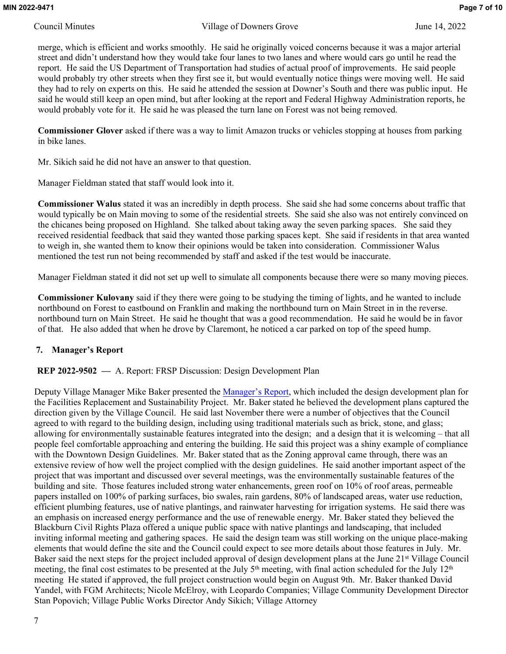merge, which is efficient and works smoothly. He said he originally voiced concerns because it was a major arterial street and didn't understand how they would take four lanes to two lanes and where would cars go until he read the report. He said the US Department of Transportation had studies of actual proof of improvements. He said people would probably try other streets when they first see it, but would eventually notice things were moving well. He said they had to rely on experts on this. He said he attended the session at Downer's South and there was public input. He said he would still keep an open mind, but after looking at the report and Federal Highway Administration reports, he would probably vote for it. He said he was pleased the turn lane on Forest was not being removed.

**Commissioner Glover** asked if there was a way to limit Amazon trucks or vehicles stopping at houses from parking in bike lanes.

Mr. Sikich said he did not have an answer to that question.

Manager Fieldman stated that staff would look into it.

**Commissioner Walus** stated it was an incredibly in depth process. She said she had some concerns about traffic that would typically be on Main moving to some of the residential streets. She said she also was not entirely convinced on the chicanes being proposed on Highland. She talked about taking away the seven parking spaces. She said they received residential feedback that said they wanted those parking spaces kept. She said if residents in that area wanted to weigh in, she wanted them to know their opinions would be taken into consideration. Commissioner Walus mentioned the test run not being recommended by staff and asked if the test would be inaccurate.

Manager Fieldman stated it did not set up well to simulate all components because there were so many moving pieces.

**Commissioner Kulovany** said if they there were going to be studying the timing of lights, and he wanted to include northbound on Forest to eastbound on Franklin and making the northbound turn on Main Street in in the reverse. northbound turn on Main Street. He said he thought that was a good recommendation. He said he would be in favor of that. He also added that when he drove by Claremont, he noticed a car parked on top of the speed hump.

## **7. Manager's Report**

**REP 2022-9502 —** A. Report: FRSP Discussion: Design Development Plan

Deputy Village Manager Mike Baker presented the [Manager's Report](http://www.downers.us/public/docs/agendas/2022/06-14-22/REP%202022-9502%20-%20FRSP%20Discussion%20%20Design%20Development%20Plan%20-%206-14-2022_21744.pdf), which included the design development plan for the Facilities Replacement and Sustainability Project. Mr. Baker stated he believed the development plans captured the direction given by the Village Council. He said last November there were a number of objectives that the Council agreed to with regard to the building design, including using traditional materials such as brick, stone, and glass; allowing for environmentally sustainable features integrated into the design; and a design that it is welcoming – that all people feel comfortable approaching and entering the building. He said this project was a shiny example of compliance with the Downtown Design Guidelines. Mr. Baker stated that as the Zoning approval came through, there was an extensive review of how well the project complied with the design guidelines. He said another important aspect of the project that was important and discussed over several meetings, was the environmentally sustainable features of the building and site. Those features included strong water enhancements, green roof on 10% of roof areas, permeable papers installed on 100% of parking surfaces, bio swales, rain gardens, 80% of landscaped areas, water use reduction, efficient plumbing features, use of native plantings, and rainwater harvesting for irrigation systems. He said there was an emphasis on increased energy performance and the use of renewable energy. Mr. Baker stated they believed the Blackburn Civil Rights Plaza offered a unique public space with native plantings and landscaping, that included inviting informal meeting and gathering spaces. He said the design team was still working on the unique place-making elements that would define the site and the Council could expect to see more details about those features in July. Mr. Baker said the next steps for the project included approval of design development plans at the June 21<sup>st</sup> Village Council meeting, the final cost estimates to be presented at the July  $5<sup>th</sup>$  meeting, with final action scheduled for the July  $12<sup>th</sup>$ meeting He stated if approved, the full project construction would begin on August 9th. Mr. Baker thanked David Yandel, with FGM Architects; Nicole McElroy, with Leopardo Companies; Village Community Development Director Stan Popovich; Village Public Works Director Andy Sikich; Village Attorney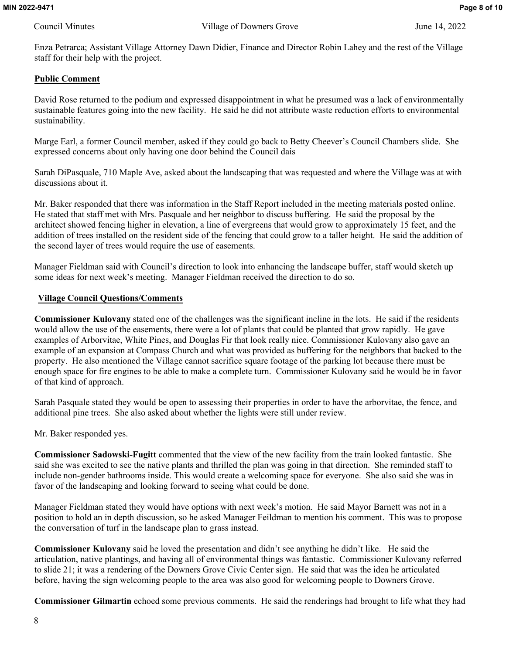Enza Petrarca; Assistant Village Attorney Dawn Didier, Finance and Director Robin Lahey and the rest of the Village staff for their help with the project.

## **Public Comment**

David Rose returned to the podium and expressed disappointment in what he presumed was a lack of environmentally sustainable features going into the new facility. He said he did not attribute waste reduction efforts to environmental sustainability.

Marge Earl, a former Council member, asked if they could go back to Betty Cheever's Council Chambers slide. She expressed concerns about only having one door behind the Council dais

Sarah DiPasquale, 710 Maple Ave, asked about the landscaping that was requested and where the Village was at with discussions about it.

Mr. Baker responded that there was information in the Staff Report included in the meeting materials posted online. He stated that staff met with Mrs. Pasquale and her neighbor to discuss buffering. He said the proposal by the architect showed fencing higher in elevation, a line of evergreens that would grow to approximately 15 feet, and the addition of trees installed on the resident side of the fencing that could grow to a taller height. He said the addition of the second layer of trees would require the use of easements.

Manager Fieldman said with Council's direction to look into enhancing the landscape buffer, staff would sketch up some ideas for next week's meeting. Manager Fieldman received the direction to do so.

## **Village Council Questions/Comments**

**Commissioner Kulovany** stated one of the challenges was the significant incline in the lots. He said if the residents would allow the use of the easements, there were a lot of plants that could be planted that grow rapidly. He gave examples of Arborvitae, White Pines, and Douglas Fir that look really nice. Commissioner Kulovany also gave an example of an expansion at Compass Church and what was provided as buffering for the neighbors that backed to the property. He also mentioned the Village cannot sacrifice square footage of the parking lot because there must be enough space for fire engines to be able to make a complete turn. Commissioner Kulovany said he would be in favor of that kind of approach.

Sarah Pasquale stated they would be open to assessing their properties in order to have the arborvitae, the fence, and additional pine trees. She also asked about whether the lights were still under review.

Mr. Baker responded yes.

**Commissioner Sadowski-Fugitt** commented that the view of the new facility from the train looked fantastic. She said she was excited to see the native plants and thrilled the plan was going in that direction. She reminded staff to include non-gender bathrooms inside. This would create a welcoming space for everyone. She also said she was in favor of the landscaping and looking forward to seeing what could be done.

Manager Fieldman stated they would have options with next week's motion. He said Mayor Barnett was not in a position to hold an in depth discussion, so he asked Manager Feildman to mention his comment. This was to propose the conversation of turf in the landscape plan to grass instead.

**Commissioner Kulovany** said he loved the presentation and didn't see anything he didn't like. He said the articulation, native plantings, and having all of environmental things was fantastic. Commissioner Kulovany referred to slide 21; it was a rendering of the Downers Grove Civic Center sign. He said that was the idea he articulated before, having the sign welcoming people to the area was also good for welcoming people to Downers Grove.

**Commissioner Gilmartin** echoed some previous comments. He said the renderings had brought to life what they had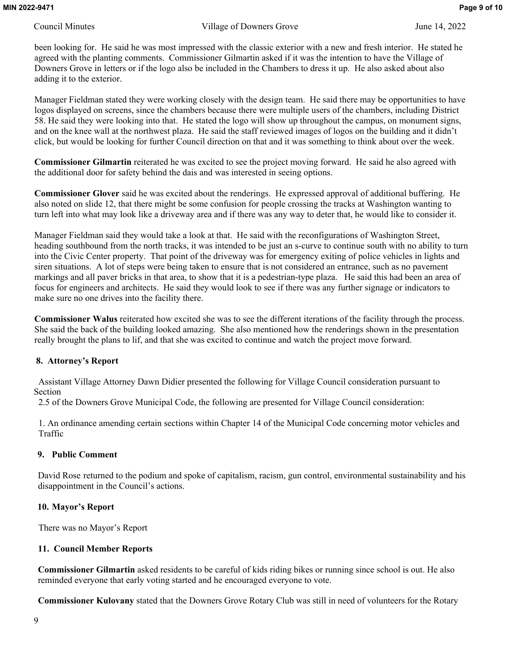Council Minutes Village of Downers Grove June 14, 2022

been looking for. He said he was most impressed with the classic exterior with a new and fresh interior. He stated he agreed with the planting comments. Commissioner Gilmartin asked if it was the intention to have the Village of Downers Grove in letters or if the logo also be included in the Chambers to dress it up. He also asked about also adding it to the exterior.

Manager Fieldman stated they were working closely with the design team. He said there may be opportunities to have logos displayed on screens, since the chambers because there were multiple users of the chambers, including District 58. He said they were looking into that. He stated the logo will show up throughout the campus, on monument signs, and on the knee wall at the northwest plaza. He said the staff reviewed images of logos on the building and it didn't click, but would be looking for further Council direction on that and it was something to think about over the week.

**Commissioner Gilmartin** reiterated he was excited to see the project moving forward. He said he also agreed with the additional door for safety behind the dais and was interested in seeing options.

**Commissioner Glover** said he was excited about the renderings. He expressed approval of additional buffering. He also noted on slide 12, that there might be some confusion for people crossing the tracks at Washington wanting to turn left into what may look like a driveway area and if there was any way to deter that, he would like to consider it.

Manager Fieldman said they would take a look at that. He said with the reconfigurations of Washington Street, heading southbound from the north tracks, it was intended to be just an s-curve to continue south with no ability to turn into the Civic Center property. That point of the driveway was for emergency exiting of police vehicles in lights and siren situations. A lot of steps were being taken to ensure that is not considered an entrance, such as no pavement markings and all paver bricks in that area, to show that it is a pedestrian-type plaza. He said this had been an area of focus for engineers and architects. He said they would look to see if there was any further signage or indicators to make sure no one drives into the facility there.

**Commissioner Walus** reiterated how excited she was to see the different iterations of the facility through the process. She said the back of the building looked amazing. She also mentioned how the renderings shown in the presentation really brought the plans to lif, and that she was excited to continue and watch the project move forward.

#### **8. Attorney's Report**

 Assistant Village Attorney Dawn Didier presented the following for Village Council consideration pursuant to Section

2.5 of the Downers Grove Municipal Code, the following are presented for Village Council consideration:

1. An ordinance amending certain sections within Chapter 14 of the Municipal Code concerning motor vehicles and Traffic

## **9. Public Comment**

David Rose returned to the podium and spoke of capitalism, racism, gun control, environmental sustainability and his disappointment in the Council's actions.

## **10. Mayor's Report**

There was no Mayor's Report

## **11. Council Member Reports**

**Commissioner Gilmartin** asked residents to be careful of kids riding bikes or running since school is out. He also reminded everyone that early voting started and he encouraged everyone to vote.

**Commissioner Kulovany** stated that the Downers Grove Rotary Club was still in need of volunteers for the Rotary